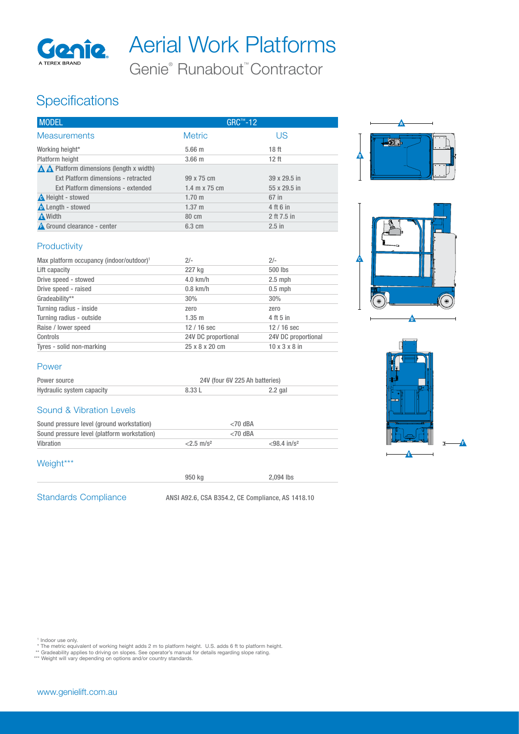

Aerial Work Platforms

Genie® Runabout™ Contractor

# **Specifications**

| <b>MODEL</b>                                       | GRC™-12          |                  |
|----------------------------------------------------|------------------|------------------|
| <b>Measurements</b>                                | <b>Metric</b>    | US               |
| Working height*                                    | $5.66$ m         | 18 <sub>ft</sub> |
| Platform height                                    | $3.66$ m         | 12 <sub>ft</sub> |
| $\triangle$ A Platform dimensions (length x width) |                  |                  |
| Ext Platform dimensions - retracted                | 99 x 75 cm       | 39 x 29.5 in     |
| Ext Platform dimensions - extended                 | 1.4 m x 75 cm    | 55 x 29.5 in     |
| <b>A</b> Height - stowed                           | $1.70 \;{\rm m}$ | 67 in            |
| Length - stowed                                    | $1.37 \; m$      | 4 ft 6 in        |
| <b>A</b> Width                                     | 80 cm            | 2 ft 7.5 in      |
| <b>A</b> Ground clearance - center                 | $6.3 \text{ cm}$ | $2.5$ in         |





## Productivity

| Max platform occupancy (indoor/outdoor) <sup>1</sup> | $2/-$               | $2/-$                     |
|------------------------------------------------------|---------------------|---------------------------|
| Lift capacity                                        | 227 kg              | 500 lbs                   |
| Drive speed - stowed                                 | $4.0$ km/h          | $2.5$ mph                 |
| Drive speed - raised                                 | $0.8$ km/h          | $0.5$ mph                 |
| Gradeability**                                       | 30%                 | 30%                       |
| Turning radius - inside                              | zero                | zero                      |
| Turning radius - outside                             | $1.35 \text{ m}$    | 4 ft 5 in                 |
| Raise / lower speed                                  | $12/16$ sec         | $12/16$ sec               |
| Controls                                             | 24V DC proportional | 24V DC proportional       |
| Tyres - solid non-marking                            | 25 x 8 x 20 cm      | $10 \times 3 \times 8$ in |

#### Power

| Power source              | 24V (four 6V 225 Ah batteries) |         |
|---------------------------|--------------------------------|---------|
| Hydraulic system capacity | 8.33 L                         | 2.2 gal |

#### Sound & Vibration Levels

| Sound pressure level (ground workstation)   | $<$ 70 dBA          |                            |
|---------------------------------------------|---------------------|----------------------------|
| Sound pressure level (platform workstation) | $<$ 70 dBA          |                            |
| Vibration                                   | $2.5 \text{ m/s}^2$ | $< 98.4$ in/s <sup>2</sup> |

#### Weight\*\*\*

Standards Compliance ANSI A92.6, CSA B354.2, CE Compliance, AS 1418.10

950 kg 2,094 lbs



' Indoor use only.<br>\* The metric equivalent of working height adds 2 m to platform height. U.S. adds 6 ft to platform height.<br>\*\* Gradeability applies to driving on slopes. See operator's manual for details regarding slope r



E